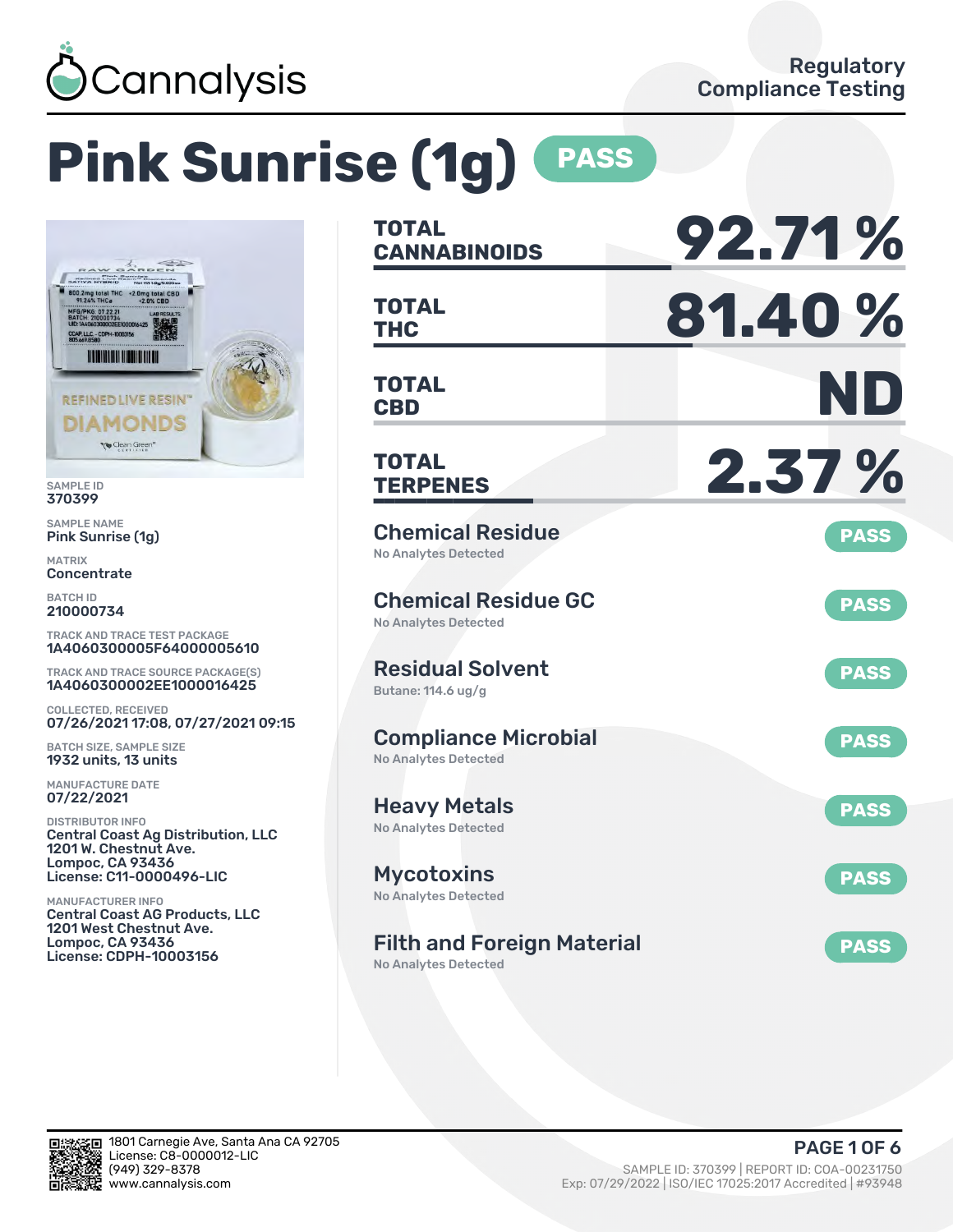

# **Pink Sunrise (1g) PASS**



SAMPLE ID 370399

SAMPLE NAME Pink Sunrise (1g)

MATRIX **Concentrate** 

BATCH ID 210000734

TRACK AND TRACE TEST PACKAGE 1A4060300005F64000005610

TRACK AND TRACE SOURCE PACKAGE(S) 1A4060300002EE1000016425

COLLECTED, RECEIVED 07/26/2021 17:08, 07/27/2021 09:15

BATCH SIZE, SAMPLE SIZE 1932 units, 13 units

MANUFACTURE DATE 07/22/2021

DISTRIBUTOR INFO Central Coast Ag Distribution, LLC 1201 W. Chestnut Ave. Lompoc, CA 93436 License: C11-0000496-LIC

MANUFACTURER INFO Central Coast AG Products, LLC 1201 West Chestnut Ave. Lompoc, CA 93436 License: CDPH-10003156

| <b>TOTAL</b><br><b>CANNABINOIDS</b>                        | 92.71%      |
|------------------------------------------------------------|-------------|
| <b>TOTAL</b><br><b>THC</b>                                 | 81.40%      |
| <b>TOTAL</b><br><b>CBD</b>                                 | ND          |
| <b>TOTAL</b><br><b>TERPENES</b>                            | 2.37%       |
| <b>Chemical Residue</b><br><b>No Analytes Detected</b>     | <b>PASS</b> |
| <b>Chemical Residue GC</b><br><b>No Analytes Detected</b>  | <b>PASS</b> |
| <b>Residual Solvent</b><br>Butane: 114.6 ug/g              | <b>PASS</b> |
| <b>Compliance Microbial</b><br><b>No Analytes Detected</b> | <b>PASS</b> |
| <b>Heavy Metals</b><br><b>No Analytes Detected</b>         | <b>PASS</b> |
| <b>Mycotoxins</b><br>No Analytes Detected                  | <b>PASS</b> |
| <b>Filth and Foreign Material</b>                          | <b>PASS</b> |

No Analytes Detected

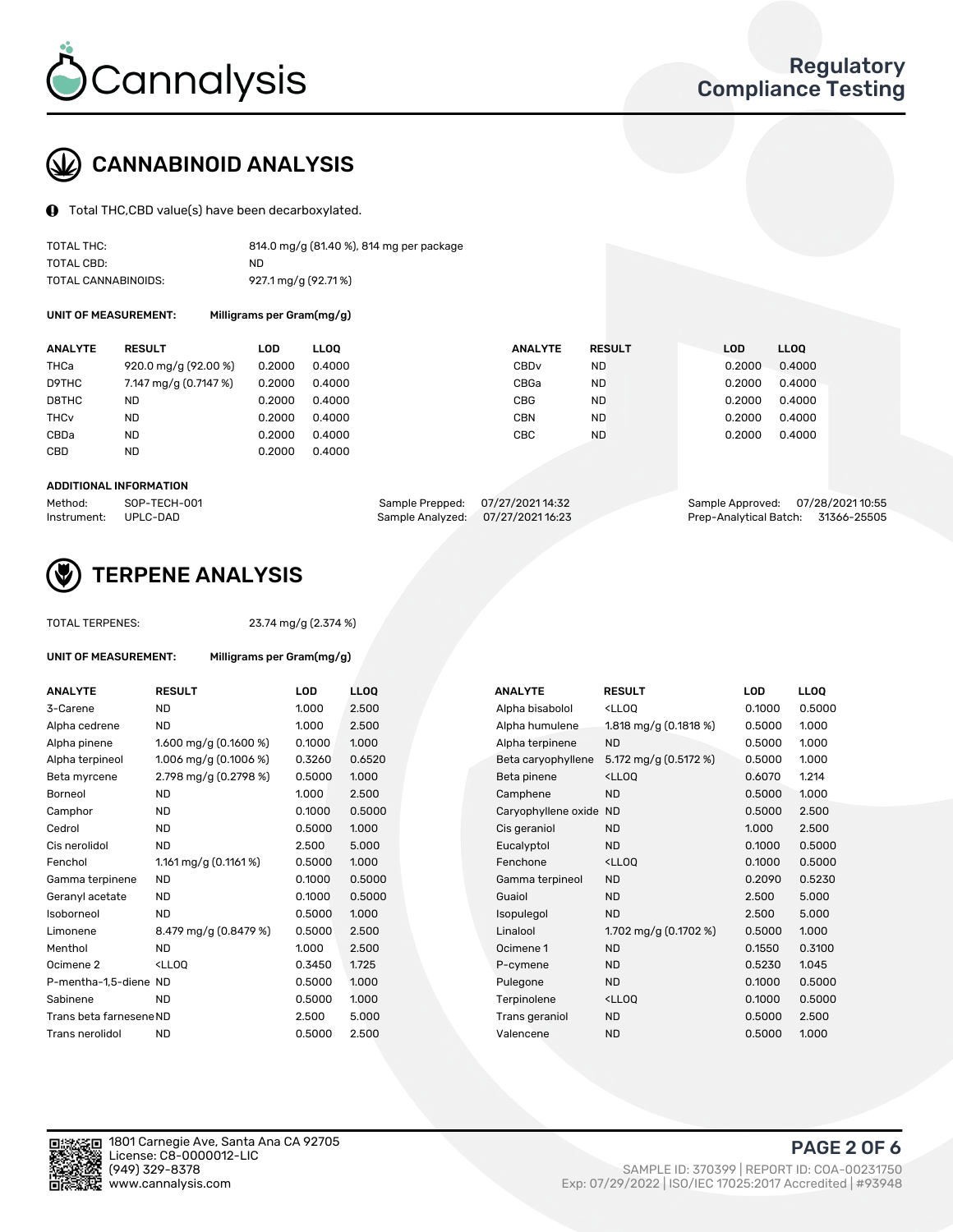

## CANNABINOID ANALYSIS

Total THC,CBD value(s) have been decarboxylated.

| TOTAL THC:          | 814.0 mg/g (81.40 %), 814 mg per package |
|---------------------|------------------------------------------|
| TOTAL CBD:          | ND.                                      |
| TOTAL CANNABINOIDS: | 927.1 mg/g (92.71%)                      |

UNIT OF MEASUREMENT: Milligrams per Gram(mg/g)

| <b>ANALYTE</b>         | <b>RESULT</b>                     | LOD    | <b>LLOO</b> | <b>ANALYTE</b>   | <b>RESULT</b> | <b>LOD</b> | <b>LLOO</b> |
|------------------------|-----------------------------------|--------|-------------|------------------|---------------|------------|-------------|
| THCa                   | $920.0 \,\mathrm{mg/g}$ (92.00 %) | 0.2000 | 0.4000      | CBD <sub>v</sub> | ND            | 0.2000     | 0.4000      |
| D9THC                  | 7.147 mg/g (0.7147 %)             | 0.2000 | 0.4000      | CBGa             | ND            | 0.2000     | 0.4000      |
| D8THC                  | <b>ND</b>                         | 0.2000 | 0.4000      | <b>CBG</b>       | <b>ND</b>     | 0.2000     | 0.4000      |
| <b>THC<sub>v</sub></b> | ND                                | 0.2000 | 0.4000      | <b>CBN</b>       | ND            | 0.2000     | 0.4000      |
| CBDa                   | <b>ND</b>                         | 0.2000 | 0.4000      | <b>CBC</b>       | <b>ND</b>     | 0.2000     | 0.4000      |
| CBD                    | <b>ND</b>                         | 0.2000 | 0.4000      |                  |               |            |             |

#### ADDITIONAL INFORMATION

| Method:              | SOP-TECH-001 | Sample Prepped: 07/27/202114:32   | Sample Approved: 07/28/2021 10:55  |  |
|----------------------|--------------|-----------------------------------|------------------------------------|--|
| Instrument: UPLC-DAD |              | Sample Analyzed: 07/27/2021 16:23 | Prep-Analytical Batch: 31366-25505 |  |



## TERPENE ANALYSIS

| <b>TOTAL TERPENES:</b>      |                                                    | 23.74 mg/g (2.374 %) |                 |  |  |  |  |  |  |
|-----------------------------|----------------------------------------------------|----------------------|-----------------|--|--|--|--|--|--|
| <b>UNIT OF MEASUREMENT:</b> | Milligrams per Gram(mg/g)                          |                      |                 |  |  |  |  |  |  |
| <b>ANALYTE</b>              | <b>RESULT</b>                                      | LOD                  | LL <sub>O</sub> |  |  |  |  |  |  |
| 3-Carene                    | <b>ND</b>                                          | 1.000                | 2.50            |  |  |  |  |  |  |
| Alpha cedrene               | <b>ND</b>                                          | 1.000                | 2.50            |  |  |  |  |  |  |
| Alpha pinene                | 1.600 mg/g $(0.1600\%)$                            | 0.1000               | 1.00            |  |  |  |  |  |  |
| Alpha terpineol             | 1.006 mg/g $(0.1006\%)$                            | 0.3260               | 0.65            |  |  |  |  |  |  |
| Beta myrcene                | 2.798 mg/g (0.2798 %)                              | 0.5000               | 1.00            |  |  |  |  |  |  |
| Borneol                     | <b>ND</b>                                          | 1.000                | 2.50            |  |  |  |  |  |  |
| Camphor                     | <b>ND</b>                                          | 0.1000               | 0.50            |  |  |  |  |  |  |
| Cedrol                      | <b>ND</b>                                          | 0.5000               | 1.00            |  |  |  |  |  |  |
| Cis nerolidol               | <b>ND</b>                                          | 2.500                | 5.00            |  |  |  |  |  |  |
| Fenchol                     | 1.161 mg/g (0.1161 %)                              | 0.5000               | 1.00            |  |  |  |  |  |  |
| Gamma terpinene             | <b>ND</b>                                          | 0.1000               | 0.50            |  |  |  |  |  |  |
| Geranyl acetate             | <b>ND</b>                                          | 0.1000               | 0.50            |  |  |  |  |  |  |
| Isoborneol                  | <b>ND</b>                                          | 0.5000               | 1.00            |  |  |  |  |  |  |
| Limonene                    | 8.479 mg/g (0.8479 %)                              | 0.5000               | 2.50            |  |  |  |  |  |  |
| Menthol                     | <b>ND</b>                                          | 1.000                | 2.50            |  |  |  |  |  |  |
| Ocimene <sub>2</sub>        | <lloq< td=""><td>0.3450</td><td>1.72!</td></lloq<> | 0.3450               | 1.72!           |  |  |  |  |  |  |
| P-mentha-1,5-diene ND       |                                                    | 0.5000               | 1.00            |  |  |  |  |  |  |
| Sabinene                    | <b>ND</b>                                          | 0.5000               | 1.00            |  |  |  |  |  |  |
| Trans beta farnesene ND     |                                                    | 2.500                | 5.00            |  |  |  |  |  |  |
| Trans nerolidol             | <b>ND</b>                                          | 0.5000               | 2.50            |  |  |  |  |  |  |
|                             |                                                    |                      |                 |  |  |  |  |  |  |

| <b>ANALYTE</b>          | <b>RESULT</b>                                                                                        | <b>LOD</b> | <b>LLOQ</b> | <b>ANALYTE</b>         | <b>RESULT</b>                        | <b>LOD</b> |
|-------------------------|------------------------------------------------------------------------------------------------------|------------|-------------|------------------------|--------------------------------------|------------|
| 3-Carene                | <b>ND</b>                                                                                            | 1.000      | 2.500       | Alpha bisabolol        | <lloq< td=""><td>0.1000</td></lloq<> | 0.1000     |
| Alpha cedrene           | <b>ND</b>                                                                                            | 1.000      | 2.500       | Alpha humulene         | 1.818 mg/g $(0.1818%)$               | 0.5000     |
| Alpha pinene            | 1.600 mg/g $(0.1600\%)$                                                                              | 0.1000     | 1.000       | Alpha terpinene        | <b>ND</b>                            | 0.5000     |
| Alpha terpineol         | 1.006 mg/g $(0.1006\%)$                                                                              | 0.3260     | 0.6520      | Beta caryophyllene     | 5.172 mg/g (0.5172 %)                | 0.5000     |
| Beta myrcene            | 2.798 mg/g (0.2798 %)                                                                                | 0.5000     | 1.000       | Beta pinene            | <lloq< td=""><td>0.6070</td></lloq<> | 0.6070     |
| Borneol                 | <b>ND</b>                                                                                            | 1.000      | 2.500       | Camphene               | <b>ND</b>                            | 0.5000     |
| Camphor                 | <b>ND</b>                                                                                            | 0.1000     | 0.5000      | Caryophyllene oxide ND |                                      | 0.5000     |
| Cedrol                  | ND                                                                                                   | 0.5000     | 1.000       | Cis geraniol           | <b>ND</b>                            | 1.000      |
| Cis nerolidol           | <b>ND</b>                                                                                            | 2.500      | 5.000       | Eucalyptol             | <b>ND</b>                            | 0.1000     |
| Fenchol                 | 1.161 mg/g $(0.1161%)$                                                                               | 0.5000     | 1.000       | Fenchone               | <lloq< td=""><td>0.1000</td></lloq<> | 0.1000     |
| Gamma terpinene         | <b>ND</b>                                                                                            | 0.1000     | 0.5000      | Gamma terpineol        | <b>ND</b>                            | 0.2090     |
| Geranyl acetate         | ND.                                                                                                  | 0.1000     | 0.5000      | Guaiol                 | <b>ND</b>                            | 2.500      |
| Isoborneol              | <b>ND</b>                                                                                            | 0.5000     | 1.000       | Isopulegol             | <b>ND</b>                            | 2.500      |
| Limonene                | 8.479 mg/g $(0.8479%)$                                                                               | 0.5000     | 2.500       | Linalool               | 1.702 mg/g (0.1702 %)                | 0.5000     |
| Menthol                 | <b>ND</b>                                                                                            | 1.000      | 2.500       | Ocimene 1              | <b>ND</b>                            | 0.1550     |
| Ocimene 2               | <lloq< td=""><td>0.3450</td><td>1.725</td><td>P-cymene</td><td><b>ND</b></td><td>0.5230</td></lloq<> | 0.3450     | 1.725       | P-cymene               | <b>ND</b>                            | 0.5230     |
| P-mentha-1,5-diene ND   |                                                                                                      | 0.5000     | 1.000       | Pulegone               | <b>ND</b>                            | 0.1000     |
| Sabinene                | <b>ND</b>                                                                                            | 0.5000     | 1.000       | Terpinolene            | <lloq< td=""><td>0.1000</td></lloq<> | 0.1000     |
| Trans beta farnesene ND |                                                                                                      | 2.500      | 5.000       | Trans geraniol         | <b>ND</b>                            | 0.5000     |
| Trans nerolidol         | <b>ND</b>                                                                                            | 0.5000     | 2.500       | Valencene              | <b>ND</b>                            | 0.5000     |
|                         |                                                                                                      |            |             |                        |                                      |            |



PAGE 2 OF 6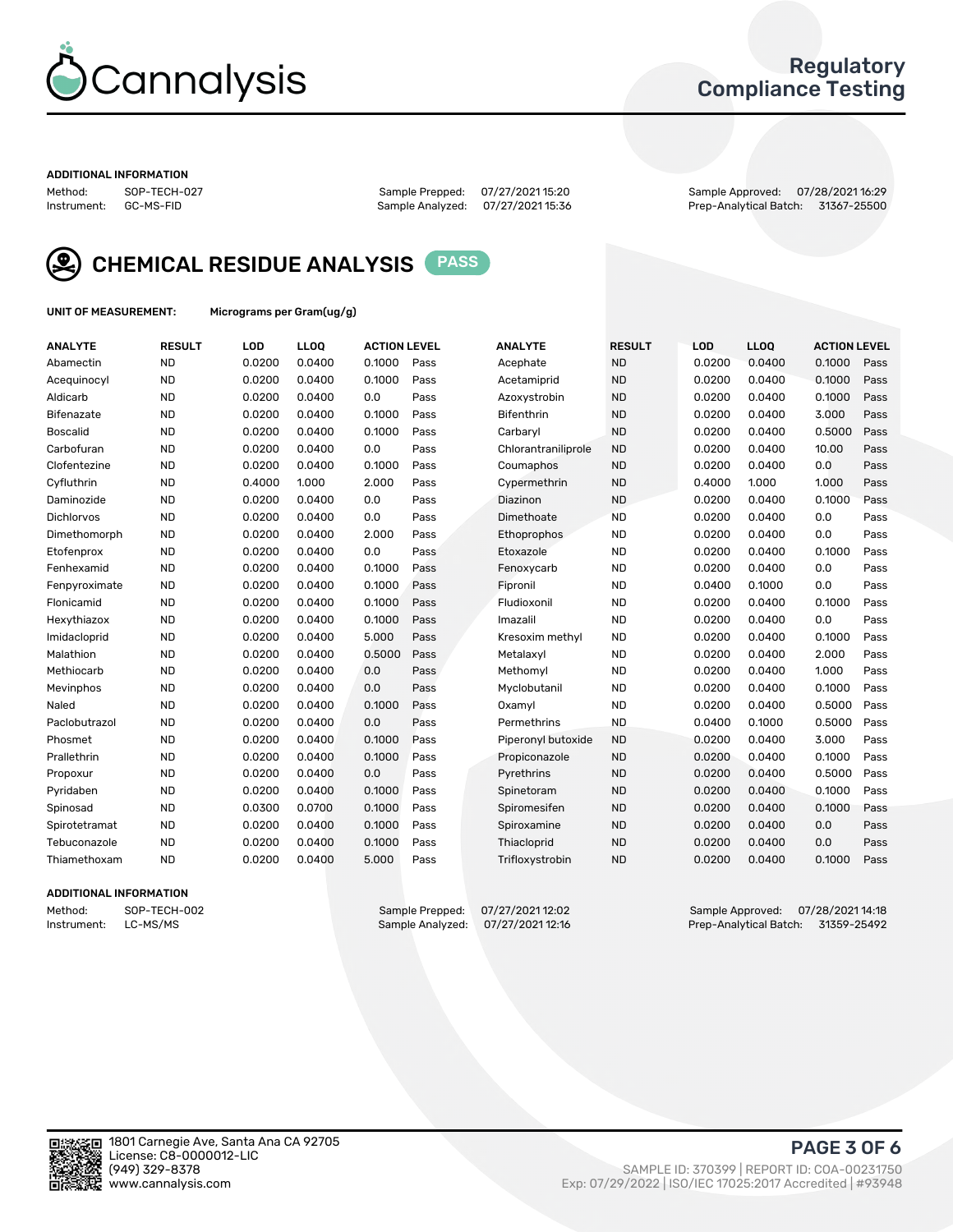

## Regulatory Compliance Testing

#### ADDITIONAL INFORMATION

Method: SOP-TECH-027 Sample Prepped: 07/27/2021 15:20 Sample Approved: 07/28/2021 16:29 Prep-Analytical Batch: 31367-25500



CHEMICAL RESIDUE ANALYSIS PASS

UNIT OF MEASUREMENT: Micrograms per Gram(ug/g)

| <b>ANALYTE</b>    | <b>RESULT</b> | LOD    | LL <sub>OO</sub> | <b>ACTION LEVEL</b> |      | <b>ANALYTE</b>      | <b>RESULT</b> | LOD    | <b>LLOQ</b> | <b>ACTION LEVEL</b> |      |
|-------------------|---------------|--------|------------------|---------------------|------|---------------------|---------------|--------|-------------|---------------------|------|
| Abamectin         | <b>ND</b>     | 0.0200 | 0.0400           | 0.1000              | Pass | Acephate            | <b>ND</b>     | 0.0200 | 0.0400      | 0.1000              | Pass |
| Acequinocyl       | <b>ND</b>     | 0.0200 | 0.0400           | 0.1000              | Pass | Acetamiprid         | <b>ND</b>     | 0.0200 | 0.0400      | 0.1000              | Pass |
| Aldicarb          | <b>ND</b>     | 0.0200 | 0.0400           | 0.0                 | Pass | Azoxystrobin        | <b>ND</b>     | 0.0200 | 0.0400      | 0.1000              | Pass |
| Bifenazate        | <b>ND</b>     | 0.0200 | 0.0400           | 0.1000              | Pass | <b>Bifenthrin</b>   | <b>ND</b>     | 0.0200 | 0.0400      | 3.000               | Pass |
| <b>Boscalid</b>   | <b>ND</b>     | 0.0200 | 0.0400           | 0.1000              | Pass | Carbaryl            | <b>ND</b>     | 0.0200 | 0.0400      | 0.5000              | Pass |
| Carbofuran        | <b>ND</b>     | 0.0200 | 0.0400           | 0.0                 | Pass | Chlorantraniliprole | <b>ND</b>     | 0.0200 | 0.0400      | 10.00               | Pass |
| Clofentezine      | <b>ND</b>     | 0.0200 | 0.0400           | 0.1000              | Pass | Coumaphos           | <b>ND</b>     | 0.0200 | 0.0400      | 0.0                 | Pass |
| Cyfluthrin        | <b>ND</b>     | 0.4000 | 1.000            | 2.000               | Pass | Cypermethrin        | <b>ND</b>     | 0.4000 | 1.000       | 1.000               | Pass |
| Daminozide        | <b>ND</b>     | 0.0200 | 0.0400           | 0.0                 | Pass | Diazinon            | <b>ND</b>     | 0.0200 | 0.0400      | 0.1000              | Pass |
| <b>Dichlorvos</b> | <b>ND</b>     | 0.0200 | 0.0400           | 0.0                 | Pass | Dimethoate          | <b>ND</b>     | 0.0200 | 0.0400      | 0.0                 | Pass |
| Dimethomorph      | <b>ND</b>     | 0.0200 | 0.0400           | 2.000               | Pass | <b>Ethoprophos</b>  | <b>ND</b>     | 0.0200 | 0.0400      | 0.0                 | Pass |
| Etofenprox        | <b>ND</b>     | 0.0200 | 0.0400           | 0.0                 | Pass | Etoxazole           | <b>ND</b>     | 0.0200 | 0.0400      | 0.1000              | Pass |
| Fenhexamid        | <b>ND</b>     | 0.0200 | 0.0400           | 0.1000              | Pass | Fenoxycarb          | <b>ND</b>     | 0.0200 | 0.0400      | 0.0                 | Pass |
| Fenpyroximate     | <b>ND</b>     | 0.0200 | 0.0400           | 0.1000              | Pass | Fipronil            | <b>ND</b>     | 0.0400 | 0.1000      | 0.0                 | Pass |
| Flonicamid        | <b>ND</b>     | 0.0200 | 0.0400           | 0.1000              | Pass | Fludioxonil         | <b>ND</b>     | 0.0200 | 0.0400      | 0.1000              | Pass |
| Hexythiazox       | <b>ND</b>     | 0.0200 | 0.0400           | 0.1000              | Pass | Imazalil            | <b>ND</b>     | 0.0200 | 0.0400      | 0.0                 | Pass |
| Imidacloprid      | <b>ND</b>     | 0.0200 | 0.0400           | 5.000               | Pass | Kresoxim methyl     | <b>ND</b>     | 0.0200 | 0.0400      | 0.1000              | Pass |
| Malathion         | <b>ND</b>     | 0.0200 | 0.0400           | 0.5000              | Pass | Metalaxyl           | <b>ND</b>     | 0.0200 | 0.0400      | 2.000               | Pass |
| Methiocarb        | <b>ND</b>     | 0.0200 | 0.0400           | 0.0                 | Pass | Methomyl            | <b>ND</b>     | 0.0200 | 0.0400      | 1.000               | Pass |
| Mevinphos         | <b>ND</b>     | 0.0200 | 0.0400           | 0.0                 | Pass | Myclobutanil        | <b>ND</b>     | 0.0200 | 0.0400      | 0.1000              | Pass |
| Naled             | <b>ND</b>     | 0.0200 | 0.0400           | 0.1000              | Pass | Oxamyl              | <b>ND</b>     | 0.0200 | 0.0400      | 0.5000              | Pass |
| Paclobutrazol     | <b>ND</b>     | 0.0200 | 0.0400           | 0.0                 | Pass | Permethrins         | <b>ND</b>     | 0.0400 | 0.1000      | 0.5000              | Pass |
| Phosmet           | <b>ND</b>     | 0.0200 | 0.0400           | 0.1000              | Pass | Piperonyl butoxide  | <b>ND</b>     | 0.0200 | 0.0400      | 3.000               | Pass |
| Prallethrin       | <b>ND</b>     | 0.0200 | 0.0400           | 0.1000              | Pass | Propiconazole       | <b>ND</b>     | 0.0200 | 0.0400      | 0.1000              | Pass |
| Propoxur          | <b>ND</b>     | 0.0200 | 0.0400           | 0.0                 | Pass | Pyrethrins          | <b>ND</b>     | 0.0200 | 0.0400      | 0.5000              | Pass |
| Pyridaben         | <b>ND</b>     | 0.0200 | 0.0400           | 0.1000              | Pass | Spinetoram          | <b>ND</b>     | 0.0200 | 0.0400      | 0.1000              | Pass |
| Spinosad          | <b>ND</b>     | 0.0300 | 0.0700           | 0.1000              | Pass | Spiromesifen        | <b>ND</b>     | 0.0200 | 0.0400      | 0.1000              | Pass |
| Spirotetramat     | <b>ND</b>     | 0.0200 | 0.0400           | 0.1000              | Pass | Spiroxamine         | <b>ND</b>     | 0.0200 | 0.0400      | 0.0                 | Pass |
| Tebuconazole      | <b>ND</b>     | 0.0200 | 0.0400           | 0.1000              | Pass | Thiacloprid         | <b>ND</b>     | 0.0200 | 0.0400      | 0.0                 | Pass |
| Thiamethoxam      | <b>ND</b>     | 0.0200 | 0.0400           | 5.000               | Pass | Trifloxystrobin     | <b>ND</b>     | 0.0200 | 0.0400      | 0.1000              | Pass |

#### ADDITIONAL INFORMATION

Method: SOP-TECH-002 Sample Prepped: 07/27/2021 12:02 Sample Approved: 07/28/2021 14:18 Prep-Analytical Batch: 31359-25492

PAGE 3 OF 6

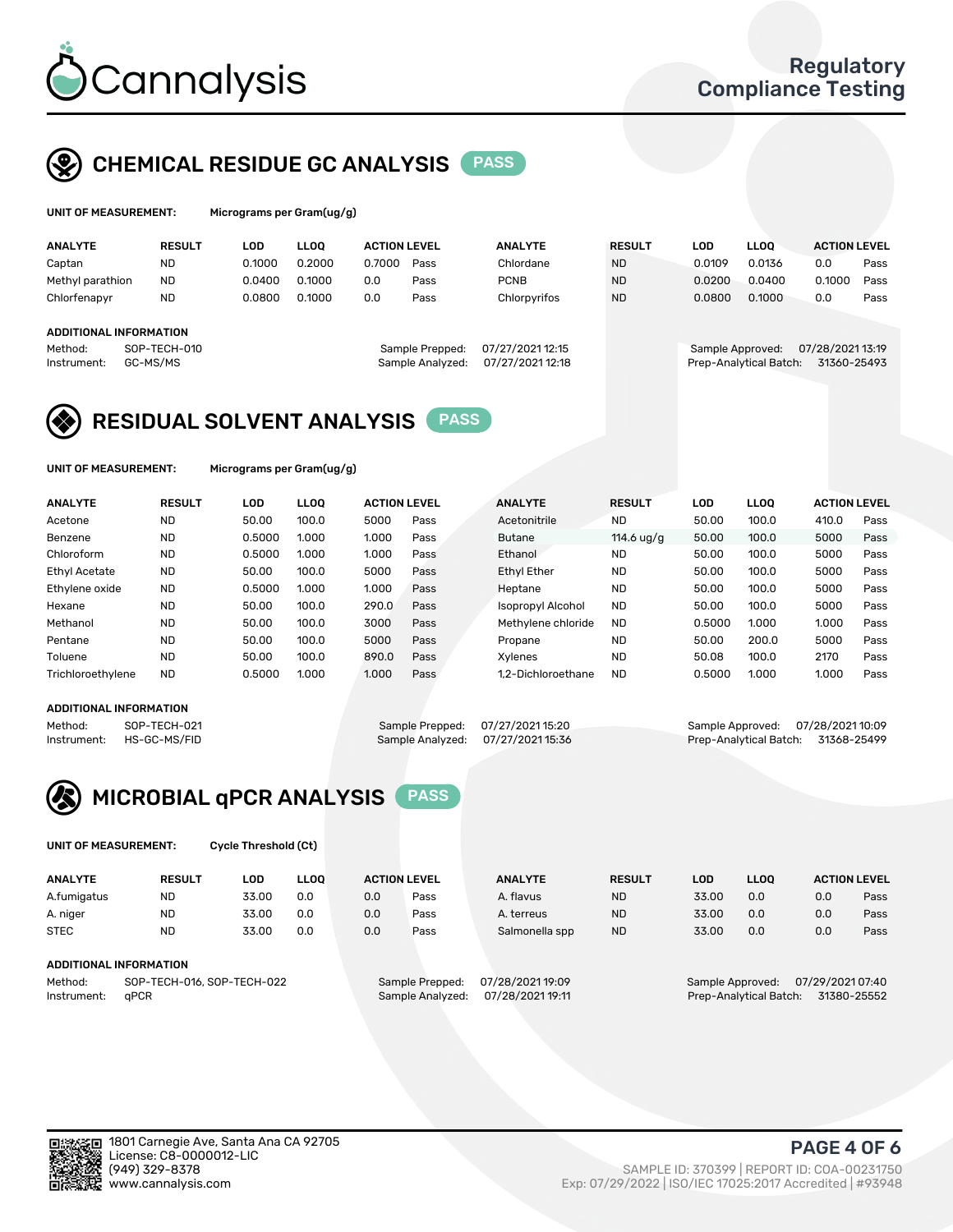

## CHEMICAL RESIDUE GC ANALYSIS PASS

| UNIT OF MEASUREMENT: | Micrograms |
|----------------------|------------|
|                      |            |

ver Gram(ug/g)

| <b>ANALYTE</b>                | <b>RESULT</b> | LOD    | <b>LLOO</b> | <b>ACTION LEVEL</b> |                  | <b>ANALYTE</b>   | <b>RESULT</b> | LOD              | <b>LLOO</b>            |     |                  | <b>ACTION LEVEL</b> |
|-------------------------------|---------------|--------|-------------|---------------------|------------------|------------------|---------------|------------------|------------------------|-----|------------------|---------------------|
| Captan                        | <b>ND</b>     | 0.1000 | 0.2000      | 0.7000              | Pass             | Chlordane        | <b>ND</b>     | 0.0109           | 0.0136                 | 0.0 |                  | Pass                |
| Methyl parathion              | <b>ND</b>     | 0.0400 | 0.1000      | 0.0                 | Pass             | <b>PCNB</b>      | <b>ND</b>     | 0.0200           | 0.0400                 |     | 0.1000           | Pass                |
| Chlorfenapyr                  | <b>ND</b>     | 0.0800 | 0.1000      | 0.0                 | Pass             | Chlorpyrifos     | <b>ND</b>     | 0.0800           | 0.1000                 | 0.0 |                  | Pass                |
|                               |               |        |             |                     |                  |                  |               |                  |                        |     |                  |                     |
| <b>ADDITIONAL INFORMATION</b> |               |        |             |                     |                  |                  |               |                  |                        |     |                  |                     |
| Method:                       | SOP-TECH-010  |        |             |                     | Sample Prepped:  | 07/27/2021 12:15 |               | Sample Approved: |                        |     | 07/28/2021 13:19 |                     |
| Instrument:                   | GC-MS/MS      |        |             |                     | Sample Analyzed: | 07/27/2021 12:18 |               |                  | Prep-Analytical Batch: |     | 31360-25493      |                     |
|                               |               |        |             |                     |                  |                  |               |                  |                        |     |                  |                     |

## RESIDUAL SOLVENT ANALYSIS PASS

UNIT OF MEASUREMENT: Micrograms per Gram(ug/g)

| <b>ANALYTE</b>       | <b>RESULT</b> | <b>LOD</b> | <b>LLOO</b> | <b>ACTION LEVEL</b> |      | <b>ANALYTE</b>           | <b>RESULT</b>       | <b>LOD</b> | <b>LLOO</b> | <b>ACTION LEVEL</b> |      |
|----------------------|---------------|------------|-------------|---------------------|------|--------------------------|---------------------|------------|-------------|---------------------|------|
| Acetone              | <b>ND</b>     | 50.00      | 100.0       | 5000                | Pass | Acetonitrile             | <b>ND</b>           | 50.00      | 100.0       | 410.0               | Pass |
| Benzene              | <b>ND</b>     | 0.5000     | 1.000       | 1.000               | Pass | <b>Butane</b>            | 114.6 $\frac{u}{q}$ | 50.00      | 100.0       | 5000                | Pass |
| Chloroform           | <b>ND</b>     | 0.5000     | 1.000       | 1.000               | Pass | Ethanol                  | <b>ND</b>           | 50.00      | 100.0       | 5000                | Pass |
| <b>Ethyl Acetate</b> | <b>ND</b>     | 50.00      | 100.0       | 5000                | Pass | <b>Ethyl Ether</b>       | <b>ND</b>           | 50.00      | 100.0       | 5000                | Pass |
| Ethylene oxide       | <b>ND</b>     | 0.5000     | 1.000       | 1.000               | Pass | Heptane                  | <b>ND</b>           | 50.00      | 100.0       | 5000                | Pass |
| Hexane               | <b>ND</b>     | 50.00      | 100.0       | 290.0               | Pass | <b>Isopropyl Alcohol</b> | <b>ND</b>           | 50.00      | 100.0       | 5000                | Pass |
| Methanol             | <b>ND</b>     | 50.00      | 100.0       | 3000                | Pass | Methylene chloride       | <b>ND</b>           | 0.5000     | 1.000       | 1.000               | Pass |
| Pentane              | <b>ND</b>     | 50.00      | 100.0       | 5000                | Pass | Propane                  | <b>ND</b>           | 50.00      | 200.0       | 5000                | Pass |
| Toluene              | <b>ND</b>     | 50.00      | 100.0       | 890.0               | Pass | Xvlenes                  | <b>ND</b>           | 50.08      | 100.0       | 2170                | Pass |
| Trichloroethylene    | <b>ND</b>     | 0.5000     | 1.000       | 1.000               | Pass | 1.2-Dichloroethane       | <b>ND</b>           | 0.5000     | 1.000       | 1.000               | Pass |

#### ADDITIONAL INFORMATION

Method: SOP-TECH-021 Sample Prepped: 07/27/202115:20 Sample Approved: 07/28/202110:09<br>Sample Analyzed: 07/27/2021 15:36 Sample Analyzed: 07/27/2021 15:36 Prep-Analytical Batch: 31368-25499 Prep-Analytical Batch: 31368-25499



UNIT OF MEASUREMENT: Cycle Threshold (Ct)

| <b>ANALYTE</b>         | <b>RESULT</b>              | LOD   | <b>LLOO</b> | <b>ACTION LEVEL</b> |                 | <b>ANALYTE</b>   | <b>RESULT</b> | LOD              | <b>LLOO</b> |                  | <b>ACTION LEVEL</b> |
|------------------------|----------------------------|-------|-------------|---------------------|-----------------|------------------|---------------|------------------|-------------|------------------|---------------------|
| A.fumigatus            | <b>ND</b>                  | 33.00 | 0.0         | 0.0                 | Pass            | A. flavus        | <b>ND</b>     | 33.00            | 0.0         | 0.0              | Pass                |
| A. niger               | <b>ND</b>                  | 33.00 | 0.0         | 0.0                 | Pass            | A. terreus       | <b>ND</b>     | 33.00            | 0.0         | 0.0              | Pass                |
| <b>STEC</b>            | <b>ND</b>                  | 33.00 | 0.0         | 0.0                 | Pass            | Salmonella spp   | <b>ND</b>     | 33.00            | 0.0         | 0.0              | Pass                |
|                        |                            |       |             |                     |                 |                  |               |                  |             |                  |                     |
| ADDITIONAL INFORMATION |                            |       |             |                     |                 |                  |               |                  |             |                  |                     |
| Method:                | SOP-TECH-016, SOP-TECH-022 |       |             |                     | Sample Prepped: | 07/28/2021 19:09 |               | Sample Approved: |             | 07/29/2021 07:40 |                     |

Instrument: qPCR Sample Analyzed: 07/28/2021 19:11 Prep-Analytical Batch: 31380-25552

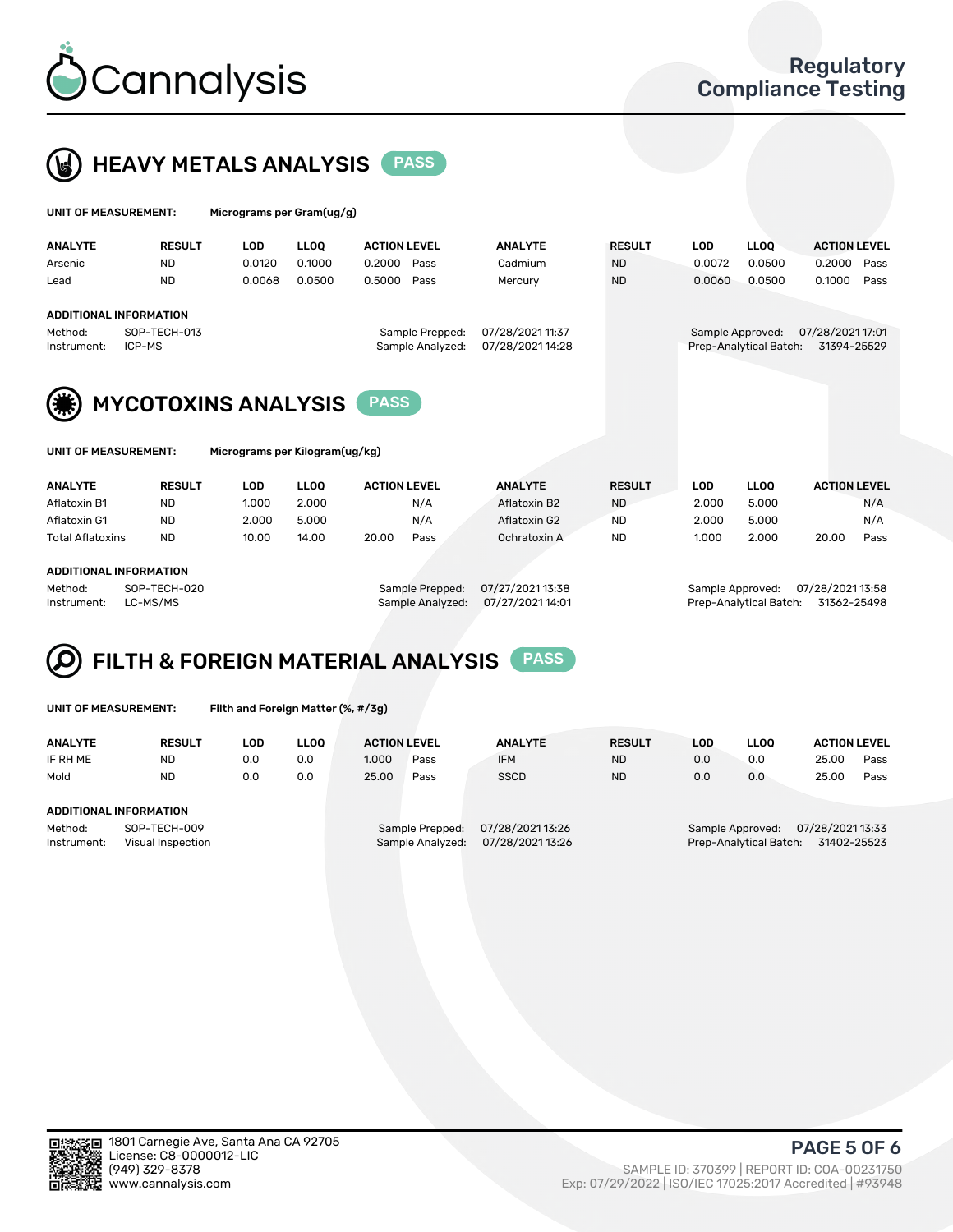



| UNIT OF MEASUREMENT: |                               | Micrograms per Gram(ug/g) |             |                     |                  |               |            |                        |                     |      |
|----------------------|-------------------------------|---------------------------|-------------|---------------------|------------------|---------------|------------|------------------------|---------------------|------|
| <b>ANALYTE</b>       | <b>RESULT</b>                 | <b>LOD</b>                | <b>LLOO</b> | <b>ACTION LEVEL</b> | <b>ANALYTE</b>   | <b>RESULT</b> | <b>LOD</b> | <b>LLOO</b>            | <b>ACTION LEVEL</b> |      |
| Arsenic              | <b>ND</b>                     | 0.0120                    | 0.1000      | 0.2000<br>Pass      | Cadmium          | <b>ND</b>     | 0.0072     | 0.0500                 | 0.2000              | Pass |
| Lead                 | <b>ND</b>                     | 0.0068                    | 0.0500      | 0.5000<br>Pass      | Mercury          | <b>ND</b>     | 0.0060     | 0.0500                 | 0.1000              | Pass |
|                      | <b>ADDITIONAL INFORMATION</b> |                           |             |                     |                  |               |            |                        |                     |      |
| Method:              | SOP-TECH-013                  |                           |             | Sample Prepped:     | 07/28/2021 11:37 |               |            | Sample Approved:       | 07/28/2021 17:01    |      |
| Instrument:          | ICP-MS                        |                           |             | Sample Analyzed:    | 07/28/2021 14:28 |               |            | Prep-Analytical Batch: | 31394-25529         |      |
|                      |                               |                           |             |                     |                  |               |            |                        |                     |      |



| UNIT OF MEASUREMENT: |  |  |
|----------------------|--|--|
|                      |  |  |

Micrograms per Kilogram(ug/kg)

| <b>ANALYTE</b>          | <b>RESULT</b> | LOD.  | LLOO  | <b>ACTION LEVEL</b> |      | <b>ANALYTE</b> | <b>RESULT</b> | LOD   | <b>LLOO</b> | <b>ACTION LEVEL</b> |      |
|-------------------------|---------------|-------|-------|---------------------|------|----------------|---------------|-------|-------------|---------------------|------|
| Aflatoxin B1            | <b>ND</b>     | 1.000 | 2.000 |                     | N/A  | Aflatoxin B2   | <b>ND</b>     | 2.000 | 5.000       |                     | N/A  |
| Aflatoxin G1            | <b>ND</b>     | 2.000 | 5.000 |                     | N/A  | Aflatoxin G2   | <b>ND</b>     | 2.000 | 5.000       |                     | N/A  |
| <b>Total Aflatoxins</b> | <b>ND</b>     | 10.00 | 14.00 | 20.00               | Pass | Ochratoxin A   | <b>ND</b>     | 1.000 | 2.000       | 20.00               | Pass |
|                         |               |       |       |                     |      |                |               |       |             |                     |      |

#### ADDITIONAL INFORMATION

Method: SOP-TECH-020 Sample Prepped: 07/27/2021 13:38 Sample Approved: 07/28/2021 13:58 Instrument: LC-MS/MS Sample Analyzed: 07/27/2021 14:01 Prep-Analytical Batch: 31362-25498

# FILTH & FOREIGN MATERIAL ANALYSIS PASS

UNIT OF MEASUREMENT: Filth and Foreign Matter (%, #/3g)

| <b>ANALYTE</b>         | <b>RESULT</b>                     | LOD. | <b>LLOO</b> | <b>ACTION LEVEL</b> |                                     | <b>ANALYTE</b>                     | <b>RESULT</b> | LOD | <b>LLOO</b>                                | <b>ACTION LEVEL</b>             |      |
|------------------------|-----------------------------------|------|-------------|---------------------|-------------------------------------|------------------------------------|---------------|-----|--------------------------------------------|---------------------------------|------|
| IF RH ME               | <b>ND</b>                         | 0.0  | 0.0         | 1.000               | Pass                                | <b>IFM</b>                         | <b>ND</b>     | 0.0 | 0.0                                        | 25.00                           | Pass |
| Mold                   | <b>ND</b>                         | 0.0  | 0.0         | 25.00               | Pass                                | <b>SSCD</b>                        | <b>ND</b>     | 0.0 | 0.0                                        | 25.00                           | Pass |
| ADDITIONAL INFORMATION |                                   |      |             |                     |                                     |                                    |               |     |                                            |                                 |      |
| Method:<br>Instrument: | SOP-TECH-009<br>Visual Inspection |      |             |                     | Sample Prepped:<br>Sample Analyzed: | 07/28/202113:26<br>07/28/202113:26 |               |     | Sample Approved:<br>Prep-Analytical Batch: | 07/28/2021 13:33<br>31402-25523 |      |



PAGE 5 OF 6